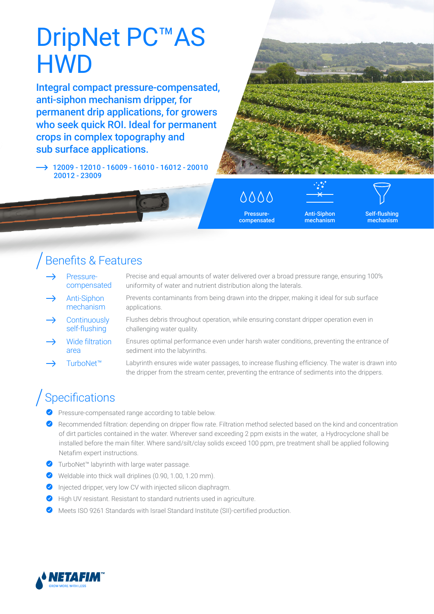# DripNet PC<sup>™</sup>AS **HWD**

Integral compact pressure-compensated, anti-siphon mechanism dripper, for permanent drip applications, for growers who seek quick ROI. Ideal for permanent crops in complex topography and sub surface applications.

 12009 - 12010 - 16009 - 16010 - 16012 - 20010 20012 - 23009



## 0000

Pressurecompensated

Anti-Siphon mechanism

Self-flushing mechanism

### Benefits & Features

- Pressurecompensated
- Precise and equal amounts of water delivered over a broad pressure range, ensuring 100% uniformity of water and nutrient distribution along the laterals.
- Anti-Siphon mechanism Prevents contaminants from being drawn into the dripper, making it ideal for sub surface applications.
- **Continuously** self-flushing Flushes debris throughout operation, while ensuring constant dripper operation even in challenging water quality.
- Wide filtration Ensures optimal performance even under harsh water conditions, preventing the entrance of sediment into the labyrinths.
- TurboNet™ Labyrinth ensures wide water passages, to increase flushing efficiency. The water is drawn into the dripper from the stream center, preventing the entrance of sediments into the drippers.

## **Specifications**

area

- Pressure-compensated range according to table below.
- Recommended filtration: depending on dripper flow rate. Filtration method selected based on the kind and concentration of dirt particles contained in the water. Wherever sand exceeding 2 ppm exists in the water, a Hydrocyclone shall be installed before the main filter. Where sand/silt/clay solids exceed 100 ppm, pre treatment shall be applied following Netafim expert instructions.
- ◆ TurboNet™ labyrinth with large water passage.
- Weldable into thick wall driplines (0.90, 1.00, 1.20 mm).
- $\bullet$  Injected dripper, very low CV with injected silicon diaphragm.
- High UV resistant. Resistant to standard nutrients used in agriculture.
- Meets ISO 9261 Standards with Israel Standard Institute (SII)-certified production.